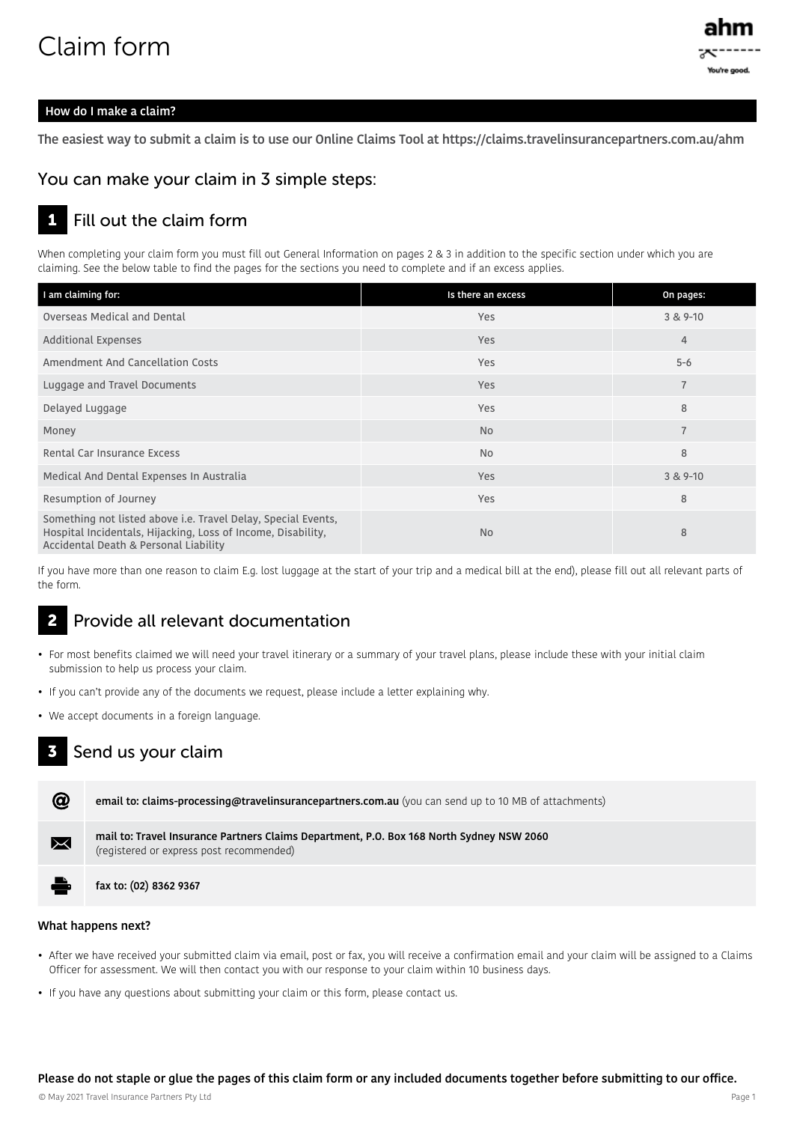# Claim form



## How do I make a claim?

The easiest way to submit a claim is to use our Online Claims Tool at https://claims.travelinsurancepartners.com.au/ahm

## You can make your claim in 3 simple steps:

#### 1 Fill out the claim form

When completing your claim form you must fill out General Information on pages 2 & 3 in addition to the specific section under which you are claiming. See the below table to find the pages for the sections you need to complete and if an excess applies.

| I am claiming for:                                                                                                                                                     | Is there an excess | On pages:      |
|------------------------------------------------------------------------------------------------------------------------------------------------------------------------|--------------------|----------------|
| Overseas Medical and Dental                                                                                                                                            | Yes                | $3 & 9 - 10$   |
| <b>Additional Expenses</b>                                                                                                                                             | <b>Yes</b>         | $\overline{4}$ |
| Amendment And Cancellation Costs                                                                                                                                       | Yes                | $5 - 6$        |
| Luggage and Travel Documents                                                                                                                                           | <b>Yes</b>         | $\overline{7}$ |
| Delayed Luggage                                                                                                                                                        | Yes                | 8              |
| Money                                                                                                                                                                  | <b>No</b>          | $\overline{7}$ |
| Rental Car Insurance Excess                                                                                                                                            | <b>No</b>          | 8              |
| Medical And Dental Expenses In Australia                                                                                                                               | Yes                | $3 & 9 - 10$   |
| Resumption of Journey                                                                                                                                                  | Yes                | 8              |
| Something not listed above i.e. Travel Delay, Special Events,<br>Hospital Incidentals, Hijacking, Loss of Income, Disability,<br>Accidental Death & Personal Liability | <b>No</b>          | 8              |

If you have more than one reason to claim E.g. lost luggage at the start of your trip and a medical bill at the end), please fill out all relevant parts of the form.

#### 2 Provide all relevant documentation

- For most benefits claimed we will need your travel itinerary or a summary of your travel plans, please include these with your initial claim submission to help us process your claim.
- If you can't provide any of the documents we request, please include a letter explaining why.
- We accept documents in a foreign language.

#### 3 Send us your claim



#### What happens next?

- After we have received your submitted claim via email, post or fax, you will receive a confirmation email and your claim will be assigned to a Claims Officer for assessment. We will then contact you with our response to your claim within 10 business days.
- If you have any questions about submitting your claim or this form, please contact us.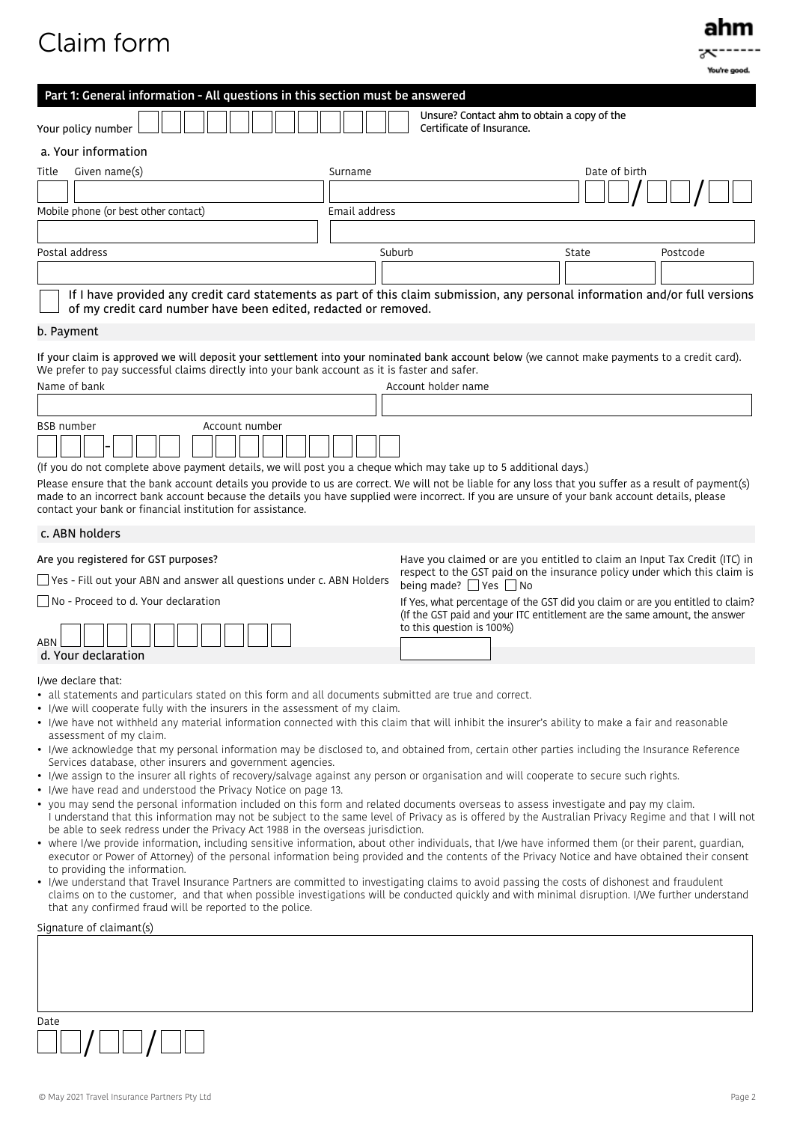# Claim form



|                                                                                                                                                                                                                                                                                                                                                                                                                                                                                                                                                                                                                                                                                                                                                                                                                                                                                                                                                                                                                                                                                                                                                                                                                                                                                                                                                                                                                                                                                                                                                                                                                                                                                                                                                                                                                                                                                                                                                           |                                                                                                                                                                                          |               | You're good. |
|-----------------------------------------------------------------------------------------------------------------------------------------------------------------------------------------------------------------------------------------------------------------------------------------------------------------------------------------------------------------------------------------------------------------------------------------------------------------------------------------------------------------------------------------------------------------------------------------------------------------------------------------------------------------------------------------------------------------------------------------------------------------------------------------------------------------------------------------------------------------------------------------------------------------------------------------------------------------------------------------------------------------------------------------------------------------------------------------------------------------------------------------------------------------------------------------------------------------------------------------------------------------------------------------------------------------------------------------------------------------------------------------------------------------------------------------------------------------------------------------------------------------------------------------------------------------------------------------------------------------------------------------------------------------------------------------------------------------------------------------------------------------------------------------------------------------------------------------------------------------------------------------------------------------------------------------------------------|------------------------------------------------------------------------------------------------------------------------------------------------------------------------------------------|---------------|--------------|
| Part 1: General information - All questions in this section must be answered                                                                                                                                                                                                                                                                                                                                                                                                                                                                                                                                                                                                                                                                                                                                                                                                                                                                                                                                                                                                                                                                                                                                                                                                                                                                                                                                                                                                                                                                                                                                                                                                                                                                                                                                                                                                                                                                              |                                                                                                                                                                                          |               |              |
| Your policy number                                                                                                                                                                                                                                                                                                                                                                                                                                                                                                                                                                                                                                                                                                                                                                                                                                                                                                                                                                                                                                                                                                                                                                                                                                                                                                                                                                                                                                                                                                                                                                                                                                                                                                                                                                                                                                                                                                                                        | Unsure? Contact ahm to obtain a copy of the<br>Certificate of Insurance.                                                                                                                 |               |              |
| a. Your information                                                                                                                                                                                                                                                                                                                                                                                                                                                                                                                                                                                                                                                                                                                                                                                                                                                                                                                                                                                                                                                                                                                                                                                                                                                                                                                                                                                                                                                                                                                                                                                                                                                                                                                                                                                                                                                                                                                                       |                                                                                                                                                                                          |               |              |
| Given name(s)<br>Title<br>Surname                                                                                                                                                                                                                                                                                                                                                                                                                                                                                                                                                                                                                                                                                                                                                                                                                                                                                                                                                                                                                                                                                                                                                                                                                                                                                                                                                                                                                                                                                                                                                                                                                                                                                                                                                                                                                                                                                                                         |                                                                                                                                                                                          | Date of birth |              |
|                                                                                                                                                                                                                                                                                                                                                                                                                                                                                                                                                                                                                                                                                                                                                                                                                                                                                                                                                                                                                                                                                                                                                                                                                                                                                                                                                                                                                                                                                                                                                                                                                                                                                                                                                                                                                                                                                                                                                           |                                                                                                                                                                                          |               |              |
| Email address<br>Mobile phone (or best other contact)                                                                                                                                                                                                                                                                                                                                                                                                                                                                                                                                                                                                                                                                                                                                                                                                                                                                                                                                                                                                                                                                                                                                                                                                                                                                                                                                                                                                                                                                                                                                                                                                                                                                                                                                                                                                                                                                                                     |                                                                                                                                                                                          |               |              |
|                                                                                                                                                                                                                                                                                                                                                                                                                                                                                                                                                                                                                                                                                                                                                                                                                                                                                                                                                                                                                                                                                                                                                                                                                                                                                                                                                                                                                                                                                                                                                                                                                                                                                                                                                                                                                                                                                                                                                           |                                                                                                                                                                                          |               |              |
| Postal address                                                                                                                                                                                                                                                                                                                                                                                                                                                                                                                                                                                                                                                                                                                                                                                                                                                                                                                                                                                                                                                                                                                                                                                                                                                                                                                                                                                                                                                                                                                                                                                                                                                                                                                                                                                                                                                                                                                                            | Suburb                                                                                                                                                                                   | State         | Postcode     |
|                                                                                                                                                                                                                                                                                                                                                                                                                                                                                                                                                                                                                                                                                                                                                                                                                                                                                                                                                                                                                                                                                                                                                                                                                                                                                                                                                                                                                                                                                                                                                                                                                                                                                                                                                                                                                                                                                                                                                           |                                                                                                                                                                                          |               |              |
| If I have provided any credit card statements as part of this claim submission, any personal information and/or full versions<br>of my credit card number have been edited, redacted or removed.                                                                                                                                                                                                                                                                                                                                                                                                                                                                                                                                                                                                                                                                                                                                                                                                                                                                                                                                                                                                                                                                                                                                                                                                                                                                                                                                                                                                                                                                                                                                                                                                                                                                                                                                                          |                                                                                                                                                                                          |               |              |
| b. Payment                                                                                                                                                                                                                                                                                                                                                                                                                                                                                                                                                                                                                                                                                                                                                                                                                                                                                                                                                                                                                                                                                                                                                                                                                                                                                                                                                                                                                                                                                                                                                                                                                                                                                                                                                                                                                                                                                                                                                |                                                                                                                                                                                          |               |              |
| If your claim is approved we will deposit your settlement into your nominated bank account below (we cannot make payments to a credit card).<br>We prefer to pay successful claims directly into your bank account as it is faster and safer.<br>Name of bank                                                                                                                                                                                                                                                                                                                                                                                                                                                                                                                                                                                                                                                                                                                                                                                                                                                                                                                                                                                                                                                                                                                                                                                                                                                                                                                                                                                                                                                                                                                                                                                                                                                                                             | Account holder name                                                                                                                                                                      |               |              |
|                                                                                                                                                                                                                                                                                                                                                                                                                                                                                                                                                                                                                                                                                                                                                                                                                                                                                                                                                                                                                                                                                                                                                                                                                                                                                                                                                                                                                                                                                                                                                                                                                                                                                                                                                                                                                                                                                                                                                           |                                                                                                                                                                                          |               |              |
| <b>BSB</b> number<br>Account number<br>(If you do not complete above payment details, we will post you a cheque which may take up to 5 additional days.)<br>Please ensure that the bank account details you provide to us are correct. We will not be liable for any loss that you suffer as a result of payment(s)                                                                                                                                                                                                                                                                                                                                                                                                                                                                                                                                                                                                                                                                                                                                                                                                                                                                                                                                                                                                                                                                                                                                                                                                                                                                                                                                                                                                                                                                                                                                                                                                                                       |                                                                                                                                                                                          |               |              |
| made to an incorrect bank account because the details you have supplied were incorrect. If you are unsure of your bank account details, please<br>contact your bank or financial institution for assistance.                                                                                                                                                                                                                                                                                                                                                                                                                                                                                                                                                                                                                                                                                                                                                                                                                                                                                                                                                                                                                                                                                                                                                                                                                                                                                                                                                                                                                                                                                                                                                                                                                                                                                                                                              |                                                                                                                                                                                          |               |              |
| c. ABN holders                                                                                                                                                                                                                                                                                                                                                                                                                                                                                                                                                                                                                                                                                                                                                                                                                                                                                                                                                                                                                                                                                                                                                                                                                                                                                                                                                                                                                                                                                                                                                                                                                                                                                                                                                                                                                                                                                                                                            |                                                                                                                                                                                          |               |              |
| Are you registered for GST purposes?                                                                                                                                                                                                                                                                                                                                                                                                                                                                                                                                                                                                                                                                                                                                                                                                                                                                                                                                                                                                                                                                                                                                                                                                                                                                                                                                                                                                                                                                                                                                                                                                                                                                                                                                                                                                                                                                                                                      | Have you claimed or are you entitled to claim an Input Tax Credit (ITC) in<br>respect to the GST paid on the insurance policy under which this claim is                                  |               |              |
| $\Box$ Yes - Fill out your ABN and answer all questions under c. ABN Holders                                                                                                                                                                                                                                                                                                                                                                                                                                                                                                                                                                                                                                                                                                                                                                                                                                                                                                                                                                                                                                                                                                                                                                                                                                                                                                                                                                                                                                                                                                                                                                                                                                                                                                                                                                                                                                                                              | being made? $\Box$ Yes $\Box$ No                                                                                                                                                         |               |              |
| No - Proceed to d. Your declaration                                                                                                                                                                                                                                                                                                                                                                                                                                                                                                                                                                                                                                                                                                                                                                                                                                                                                                                                                                                                                                                                                                                                                                                                                                                                                                                                                                                                                                                                                                                                                                                                                                                                                                                                                                                                                                                                                                                       | If Yes, what percentage of the GST did you claim or are you entitled to claim?<br>(If the GST paid and your ITC entitlement are the same amount, the answer<br>to this question is 100%) |               |              |
| ABN<br>d. Your declaration                                                                                                                                                                                                                                                                                                                                                                                                                                                                                                                                                                                                                                                                                                                                                                                                                                                                                                                                                                                                                                                                                                                                                                                                                                                                                                                                                                                                                                                                                                                                                                                                                                                                                                                                                                                                                                                                                                                                |                                                                                                                                                                                          |               |              |
| I/we declare that:<br>• all statements and particulars stated on this form and all documents submitted are true and correct.<br>• I/we will cooperate fully with the insurers in the assessment of my claim.<br>• I/we have not withheld any material information connected with this claim that will inhibit the insurer's ability to make a fair and reasonable<br>assessment of my claim.<br>. I/we acknowledge that my personal information may be disclosed to, and obtained from, certain other parties including the Insurance Reference<br>Services database, other insurers and government agencies.<br>• I/we assign to the insurer all rights of recovery/salvage against any person or organisation and will cooperate to secure such rights.<br>• I/we have read and understood the Privacy Notice on page 13.<br>• you may send the personal information included on this form and related documents overseas to assess investigate and pay my claim.<br>I understand that this information may not be subject to the same level of Privacy as is offered by the Australian Privacy Regime and that I will not<br>be able to seek redress under the Privacy Act 1988 in the overseas jurisdiction.<br>• where I/we provide information, including sensitive information, about other individuals, that I/we have informed them (or their parent, quardian,<br>executor or Power of Attorney) of the personal information being provided and the contents of the Privacy Notice and have obtained their consent<br>to providing the information.<br>• I/we understand that Travel Insurance Partners are committed to investigating claims to avoid passing the costs of dishonest and fraudulent<br>claims on to the customer, and that when possible investigations will be conducted quickly and with minimal disruption. I/We further understand<br>that any confirmed fraud will be reported to the police.<br>Signature of claimant(s) |                                                                                                                                                                                          |               |              |
| Date                                                                                                                                                                                                                                                                                                                                                                                                                                                                                                                                                                                                                                                                                                                                                                                                                                                                                                                                                                                                                                                                                                                                                                                                                                                                                                                                                                                                                                                                                                                                                                                                                                                                                                                                                                                                                                                                                                                                                      |                                                                                                                                                                                          |               |              |

© May 2021 Travel Insurance Partners Pty Ltd Page 2

 $]/ \square \square / \square$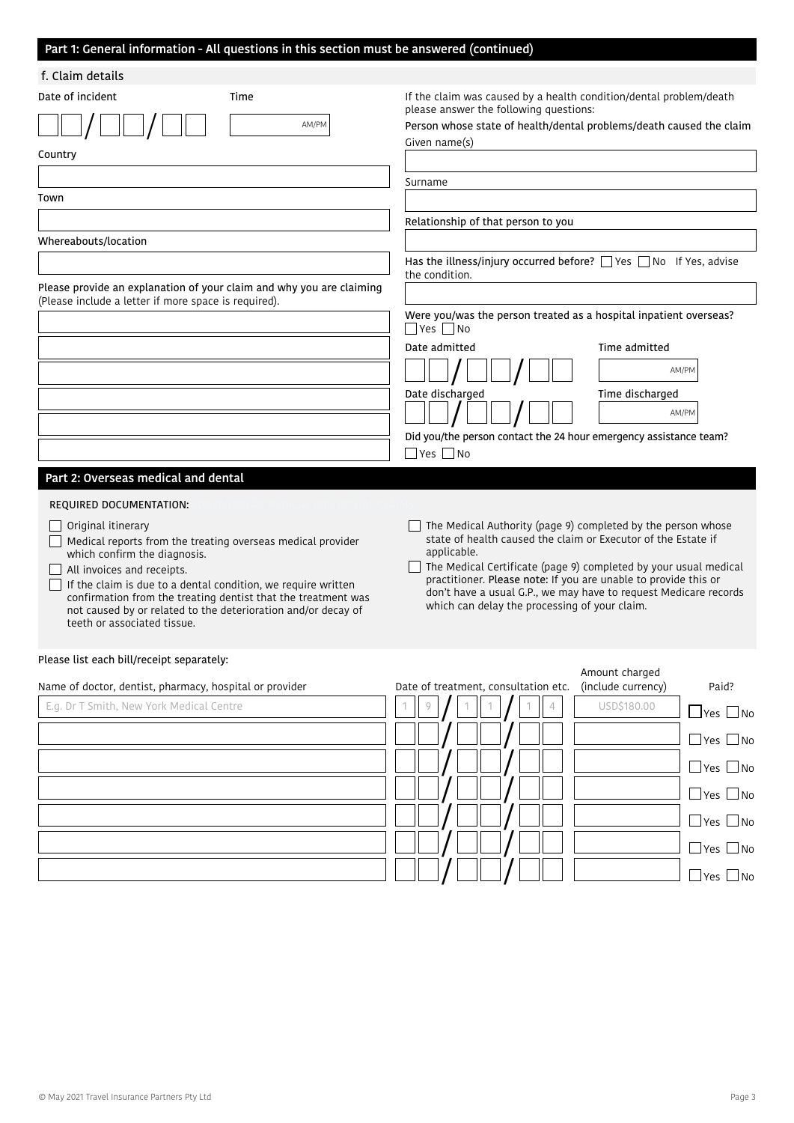## Part 1: General information - All questions in this section must be answered (continued)

| f. Claim details                                                                                                               |                                                                                                                                     |
|--------------------------------------------------------------------------------------------------------------------------------|-------------------------------------------------------------------------------------------------------------------------------------|
| Date of incident<br>Time                                                                                                       | If the claim was caused by a health condition/dental problem/death<br>please answer the following questions:                        |
| AM/PM                                                                                                                          | Person whose state of health/dental problems/death caused the claim                                                                 |
| Country                                                                                                                        | Given name(s)                                                                                                                       |
|                                                                                                                                |                                                                                                                                     |
| Town                                                                                                                           | Surname                                                                                                                             |
|                                                                                                                                | Relationship of that person to you                                                                                                  |
| Whereabouts/location                                                                                                           |                                                                                                                                     |
|                                                                                                                                | Has the illness/injury occurred before? □ Yes □ No If Yes, advise<br>the condition.                                                 |
| Please provide an explanation of your claim and why you are claiming<br>(Please include a letter if more space is required).   |                                                                                                                                     |
|                                                                                                                                | Were you/was the person treated as a hospital inpatient overseas?<br>$\Box$ Yes $\Box$ No                                           |
|                                                                                                                                | Date admitted<br>Time admitted                                                                                                      |
|                                                                                                                                | AM/PM                                                                                                                               |
|                                                                                                                                | Date discharged<br>Time discharged                                                                                                  |
|                                                                                                                                | AM/PM                                                                                                                               |
|                                                                                                                                | Did you/the person contact the 24 hour emergency assistance team?<br>$\Box$ Yes $\Box$ No                                           |
| Part 2: Overseas medical and dental                                                                                            |                                                                                                                                     |
|                                                                                                                                |                                                                                                                                     |
| REQUIRED DOCUMENTATION:                                                                                                        |                                                                                                                                     |
| $\Box$ Original itinerary<br>Medical reports from the treating overseas medical provider                                       | The Medical Authority (page 9) completed by the person whose<br>state of health caused the claim or Executor of the Estate if       |
| which confirm the diagnosis.<br>All invoices and receipts.                                                                     | applicable.<br>The Medical Certificate (page 9) completed by your usual medical                                                     |
| If the claim is due to a dental condition, we require written                                                                  | practitioner. Please note: If you are unable to provide this or<br>don't have a usual G.P., we may have to request Medicare records |
| confirmation from the treating dentist that the treatment was<br>not caused by or related to the deterioration and/or decay of | which can delay the processing of your claim.                                                                                       |
| teeth or associated tissue.                                                                                                    |                                                                                                                                     |
| Please list each bill/receipt separately:                                                                                      | Amount charged                                                                                                                      |
| Name of doctor, dentist, pharmacy, hospital or provider                                                                        | (include currency)<br>Paid?<br>Date of treatment, consultation etc.                                                                 |
| E.g. Dr T Smith, New York Medical Centre                                                                                       | USD\$180.00<br>9<br>$\Box$ Yes $\Box$ No                                                                                            |
|                                                                                                                                | $\Box$ Yes $\Box$ No                                                                                                                |
|                                                                                                                                | $\Box$ Yes $\Box$ No                                                                                                                |
|                                                                                                                                | $\Box$ Yes $\Box$ No                                                                                                                |
|                                                                                                                                | $\Box$ Yes $\Box$ No                                                                                                                |
|                                                                                                                                |                                                                                                                                     |
|                                                                                                                                | $\Box$ Yes $\Box$ No<br>$\Box$ Yes $\Box$ No                                                                                        |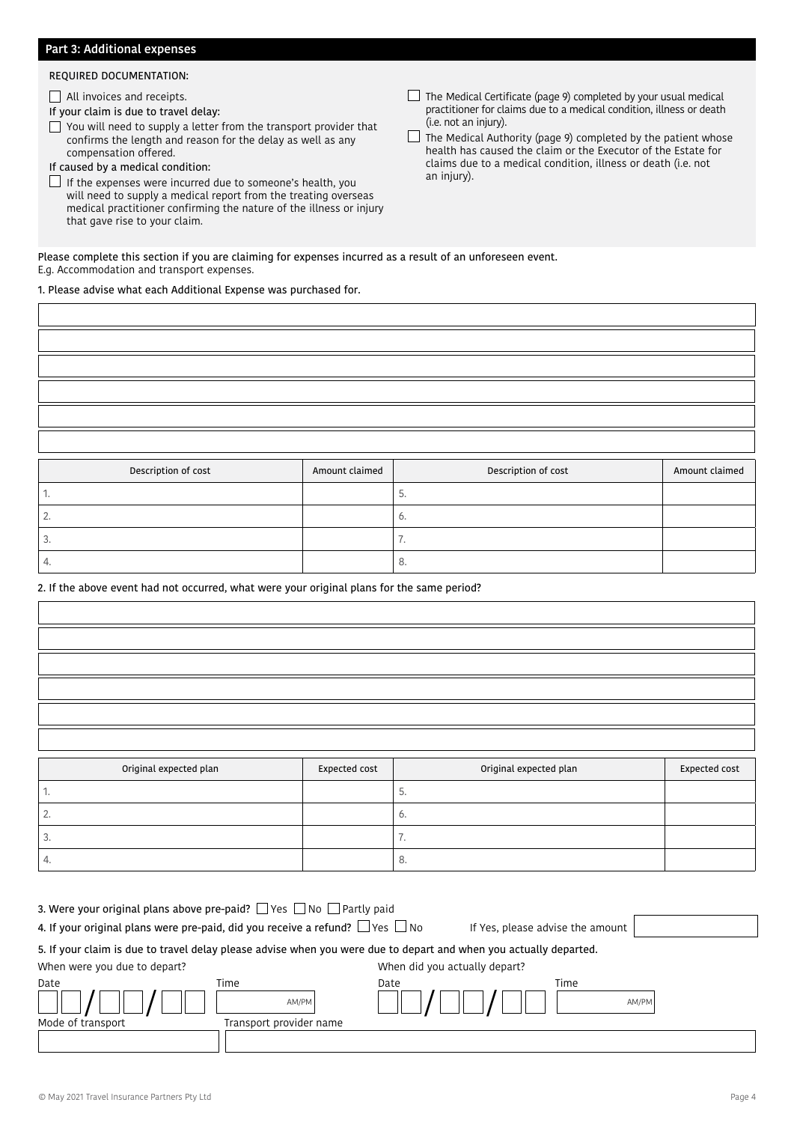### Part 3: Additional expenses

#### REQUIRED DOCUMENTATION:

All invoices and receipts.

If your claim is due to travel delay:

- $\Box$  You will need to supply a letter from the transport provider that confirms the length and reason for the delay as well as any compensation offered.
- If caused by a medical condition:
- $\Box$  If the expenses were incurred due to someone's health, you will need to supply a medical report from the treating overseas medical practitioner confirming the nature of the illness or injury that gave rise to your claim.
- $\Box$  The Medical Certificate (page 9) completed by your usual medical practitioner for claims due to a medical condition, illness or death (i.e. not an injury).

 $\Box$  The Medical Authority (page 9) completed by the patient whose health has caused the claim or the Executor of the Estate for claims due to a medical condition, illness or death (i.e. not an injury).

Please complete this section if you are claiming for expenses incurred as a result of an unforeseen event. E.g. Accommodation and transport expenses.

1. Please advise what each Additional Expense was purchased for.

| Description of cost | Amount claimed | Description of cost |                |
|---------------------|----------------|---------------------|----------------|
|                     |                |                     | Amount claimed |
| ٠.                  |                | 5.                  |                |
| 2.                  |                | 6.                  |                |
| 3.                  |                | 7.                  |                |

#### 2. If the above event had not occurred, what were your original plans for the same period?

4.  $\vert$ 

 $\overline{\phantom{a}}$ 

| Original expected plan | Expected cost | Original expected plan | Expected cost |
|------------------------|---------------|------------------------|---------------|
| ٠.                     |               | 5.                     |               |
| 2.                     |               | 6.                     |               |
| 3.                     |               | 7.                     |               |
|                        |               |                        |               |

| 4. If your original plans were pre-paid, did you receive a refund? $\Box$ Yes $\Box$ No<br>If Yes, please advise the amount | 3. Were your original plans above pre-paid?    Yes    No    Partly paid |  |  |
|-----------------------------------------------------------------------------------------------------------------------------|-------------------------------------------------------------------------|--|--|
|                                                                                                                             |                                                                         |  |  |
| 5. If your claim is due to travel delay please advise when you were due to depart and when you actually departed.           |                                                                         |  |  |
| When were you due to depart?<br>When did you actually depart?                                                               |                                                                         |  |  |
| Time<br>Date<br>Time<br>Date                                                                                                |                                                                         |  |  |
| AM/PM<br>AM/PM                                                                                                              |                                                                         |  |  |
| Mode of transport<br>Transport provider name                                                                                |                                                                         |  |  |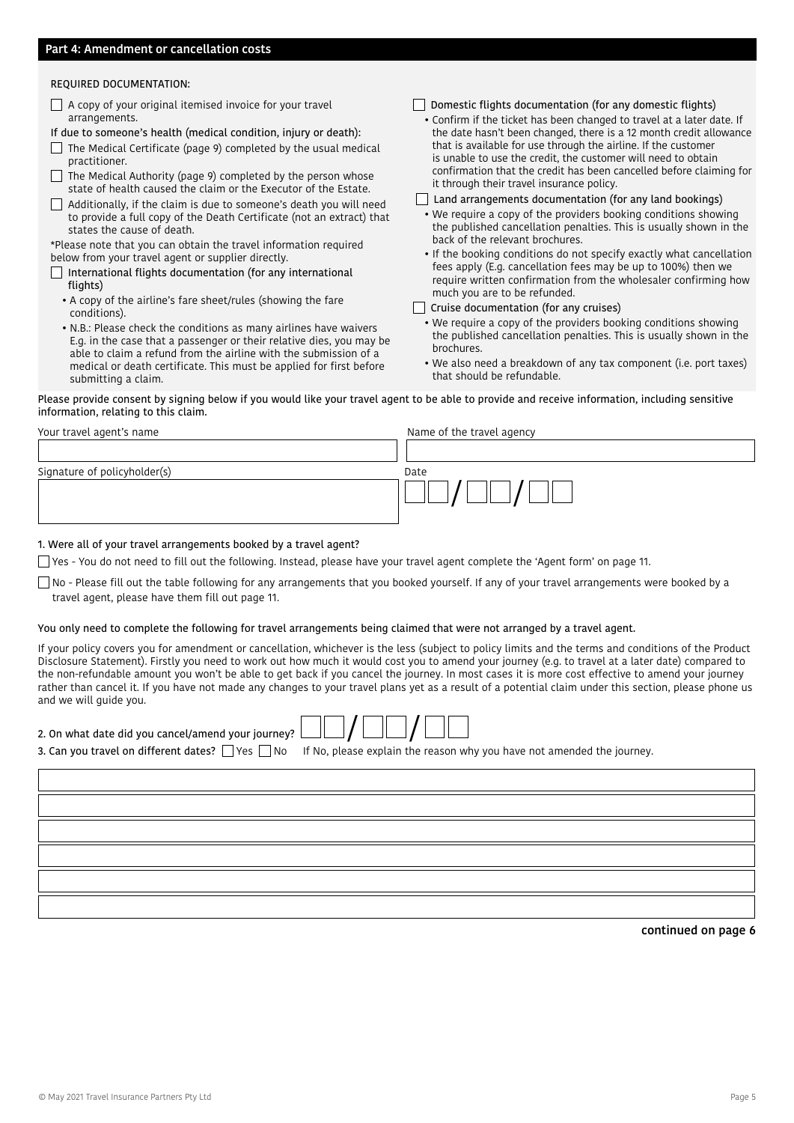#### REQUIRED DOCUMENTATION:

 $\Box$  A copy of your original itemised invoice for your travel arrangements.

If due to someone's health (medical condition, injury or death):

The Medical Certificate (page 9) completed by the usual medical practitioner.

 $\Box$  The Medical Authority (page 9) completed by the person whose state of health caused the claim or the Executor of the Estate.

 $\Box$  Additionally, if the claim is due to someone's death you will need to provide a full copy of the Death Certificate (not an extract) that states the cause of death.

\*Please note that you can obtain the travel information required below from your travel agent or supplier directly.

- $\Box$  International flights documentation (for any international flights)
	- A copy of the airline's fare sheet/rules (showing the fare conditions).
	- N.B.: Please check the conditions as many airlines have waivers E.g. in the case that a passenger or their relative dies, you may be able to claim a refund from the airline with the submission of a medical or death certificate. This must be applied for first before submitting a claim.
- $\Box$  Domestic flights documentation (for any domestic flights)
- Confirm if the ticket has been changed to travel at a later date. If the date hasn't been changed, there is a 12 month credit allowance that is available for use through the airline. If the customer is unable to use the credit, the customer will need to obtain confirmation that the credit has been cancelled before claiming for it through their travel insurance policy.
- $\Box$  Land arrangements documentation (for any land bookings)
- We require a copy of the providers booking conditions showing the published cancellation penalties. This is usually shown in the back of the relevant brochures.
- If the booking conditions do not specify exactly what cancellation fees apply (E.g. cancellation fees may be up to 100%) then we require written confirmation from the wholesaler confirming how much you are to be refunded.
- $\Box$  Cruise documentation (for any cruises)
	- We require a copy of the providers booking conditions showing the published cancellation penalties. This is usually shown in the brochures.
	- We also need a breakdown of any tax component (i.e. port taxes) that should be refundable.

Please provide consent by signing below if you would like your travel agent to be able to provide and receive information, including sensitive information, relating to this claim.

| Your travel agent's name     | Name of the travel agency |  |  |  |
|------------------------------|---------------------------|--|--|--|
|                              |                           |  |  |  |
| Signature of policyholder(s) | Date                      |  |  |  |
|                              |                           |  |  |  |

#### 1. Were all of your travel arrangements booked by a travel agent?

 $\Box$  Yes - You do not need to fill out the following. Instead, please have your travel agent complete the 'Agent form' on page 11.

No - Please fill out the table following for any arrangements that you booked yourself. If any of your travel arrangements were booked by a travel agent, please have them fill out page 11.

#### You only need to complete the following for travel arrangements being claimed that were not arranged by a travel agent.

If your policy covers you for amendment or cancellation, whichever is the less (subject to policy limits and the terms and conditions of the Product Disclosure Statement). Firstly you need to work out how much it would cost you to amend your journey (e.g. to travel at a later date) compared to the non-refundable amount you won't be able to get back if you cancel the journey. In most cases it is more cost effective to amend your journey rather than cancel it. If you have not made any changes to your travel plans yet as a result of a potential claim under this section, please phone us and we will guide you.



continued on page 6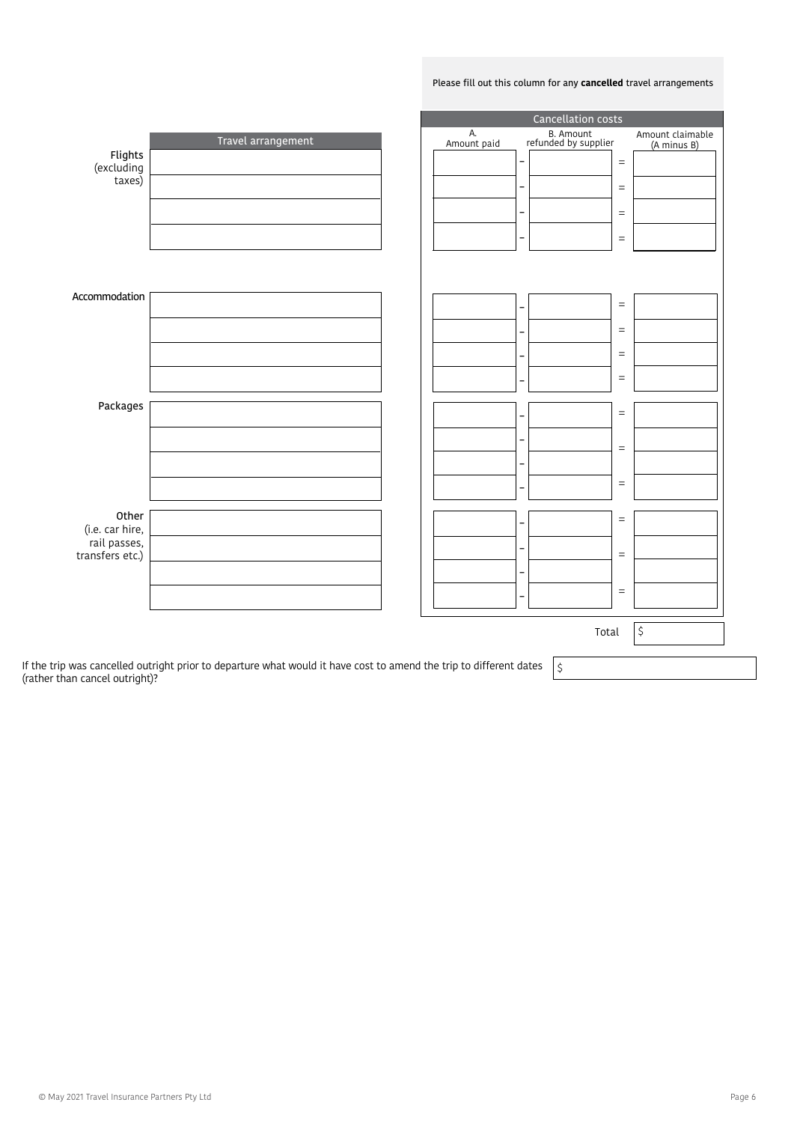#### Please fill out this column for any **cancelled** travel arrangements

|                                 |                                                                                                           | Cancellation costs |                          |                                   |  |                                 |
|---------------------------------|-----------------------------------------------------------------------------------------------------------|--------------------|--------------------------|-----------------------------------|--|---------------------------------|
|                                 | Travel arrangement                                                                                        | А.<br>Amount paid  |                          | B. Amount<br>refunded by supplier |  | Amount claimable<br>(A minus B) |
| Flights<br>excluding)<br>taxes) |                                                                                                           |                    | $\overline{\phantom{a}}$ | $\equiv$                          |  |                                 |
|                                 |                                                                                                           |                    | -                        | $\equiv$                          |  |                                 |
|                                 |                                                                                                           |                    | $\qquad \qquad -$        | $\equiv$                          |  |                                 |
|                                 |                                                                                                           |                    | $\qquad \qquad -$        | $\equiv$                          |  |                                 |
|                                 |                                                                                                           |                    |                          |                                   |  |                                 |
|                                 |                                                                                                           |                    |                          |                                   |  |                                 |
| Accommodation                   |                                                                                                           |                    | $\qquad \qquad -$        | $\equiv$                          |  |                                 |
|                                 |                                                                                                           |                    |                          | $\equiv$                          |  |                                 |
|                                 |                                                                                                           |                    | -                        | $\equiv$                          |  |                                 |
|                                 |                                                                                                           |                    | -                        | $\equiv$                          |  |                                 |
| Packages                        |                                                                                                           |                    | -                        | $\equiv$                          |  |                                 |
|                                 |                                                                                                           |                    | -                        |                                   |  |                                 |
|                                 |                                                                                                           |                    | -                        | $\equiv$                          |  |                                 |
|                                 |                                                                                                           |                    |                          | $\equiv$                          |  |                                 |
|                                 |                                                                                                           |                    |                          |                                   |  |                                 |
| Other<br>(i.e. car hire,        |                                                                                                           |                    | -                        | $\equiv$                          |  |                                 |
| rail passes,<br>transfers etc.) |                                                                                                           |                    |                          | $\equiv$                          |  |                                 |
|                                 |                                                                                                           |                    |                          |                                   |  |                                 |
|                                 |                                                                                                           |                    | -                        | $\equiv$                          |  |                                 |
|                                 |                                                                                                           |                    |                          | Total                             |  | \$                              |
|                                 |                                                                                                           |                    |                          |                                   |  |                                 |
|                                 | in was cancelled outright prior to departure what would it have cost to amend the trip to different dates |                    |                          | ے ا                               |  |                                 |

If the trip was cancelled outright prior to departure what would it have cost to amend the trip to different dates  $\;\mid\;$ (rather than cancel outright)?

© May 2021 Travel Insurance Partners Pty Ltd Page 6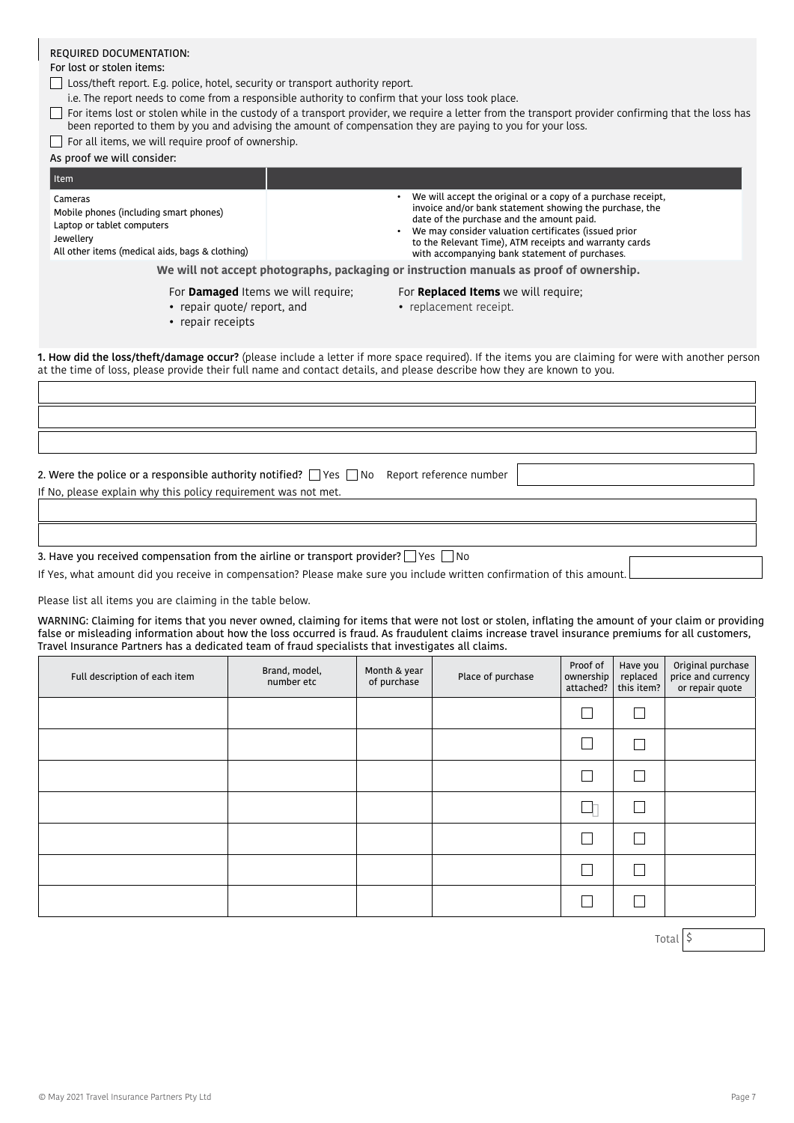## REQUIRED DOCUMENTATION:

#### For lost or stolen items:

□ Loss/theft report. E.g. police, hotel, security or transport authority report.

i.e. The report needs to come from a responsible authority to confirm that your loss took place.

- $\Box$  For items lost or stolen while in the custody of a transport provider, we require a letter from the transport provider confirming that the loss has been reported to them by you and advising the amount of compensation they are paying to you for your loss.
- $\Box$  For all items, we will require proof of ownership.

## As proof we will consider:

| Item                                                                                                                                            |                                                                                                                                                                                                                                                                                                                                          |  |
|-------------------------------------------------------------------------------------------------------------------------------------------------|------------------------------------------------------------------------------------------------------------------------------------------------------------------------------------------------------------------------------------------------------------------------------------------------------------------------------------------|--|
| Cameras<br>Mobile phones (including smart phones)<br>Laptop or tablet computers<br>Jewellery<br>All other items (medical aids, bags & clothing) | We will accept the original or a copy of a purchase receipt,<br>invoice and/or bank statement showing the purchase, the<br>date of the purchase and the amount paid.<br>We may consider valuation certificates (issued prior<br>to the Relevant Time), ATM receipts and warranty cards<br>with accompanying bank statement of purchases. |  |
|                                                                                                                                                 | We will not accept photographs, packaging or instruction manuals as proof of ownership.                                                                                                                                                                                                                                                  |  |
| For <b>Damaged</b> Items we will require;                                                                                                       | For Replaced Items we will require;                                                                                                                                                                                                                                                                                                      |  |

- repair quote/ report, and
- 

• replacement receipt.

• repair receipts

1. How did the loss/theft/damage occur? (please include a letter if more space required). If the items you are claiming for were with another person at the time of loss, please provide their full name and contact details, and please describe how they are known to you.

3. Have you received compensation from the airline or transport provider?  $\Box$  Yes  $\Box$  No

2. Were the police or a responsible authority notified?  $\Box$  Yes  $\Box$  No Report reference number

If Yes, what amount did you receive in compensation? Please make sure you include written confirmation of this amount.

Please list all items you are claiming in the table below.

If No, please explain why this policy requirement was not met.

WARNING: Claiming for items that you never owned, claiming for items that were not lost or stolen, inflating the amount of your claim or providing false or misleading information about how the loss occurred is fraud. As fraudulent claims increase travel insurance premiums for all customers, Travel Insurance Partners has a dedicated team of fraud specialists that investigates all claims.

| Full description of each item | Brand, model,<br>number etc | Month & year<br>of purchase | Place of purchase | Proof of<br>ownership<br>attached? | Have you<br>replaced<br>this item? | Original purchase<br>price and currency<br>or repair quote |
|-------------------------------|-----------------------------|-----------------------------|-------------------|------------------------------------|------------------------------------|------------------------------------------------------------|
|                               |                             |                             |                   |                                    |                                    |                                                            |
|                               |                             |                             |                   |                                    |                                    |                                                            |
|                               |                             |                             |                   |                                    |                                    |                                                            |
|                               |                             |                             |                   |                                    |                                    |                                                            |
|                               |                             |                             |                   |                                    |                                    |                                                            |
|                               |                             |                             |                   |                                    |                                    |                                                            |
|                               |                             |                             |                   |                                    |                                    |                                                            |

Total | \$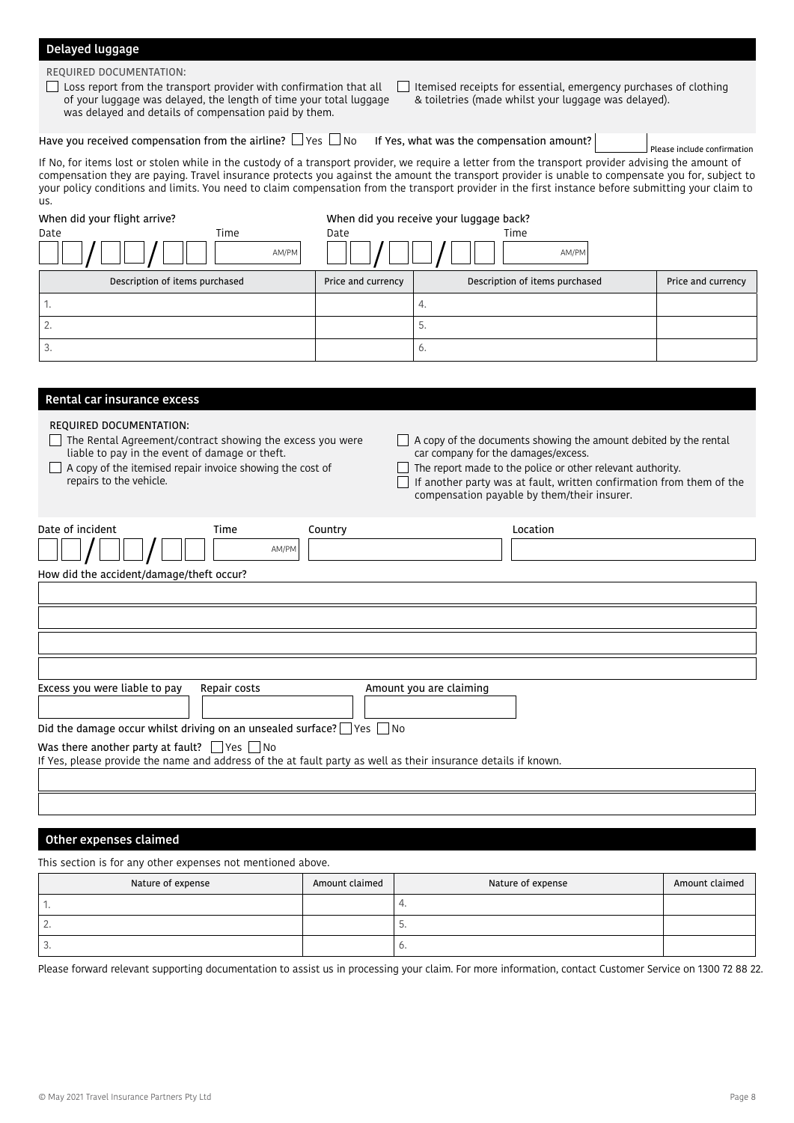## Delayed luggage

REQUIRED DOCUMENTATION:

**Loss report from the transport provider with confirmation that all** of your luggage was delayed, the length of time your total luggage was delayed and details of compensation paid by them.

 $\Box$  Itemised receipts for essential, emergency purchases of clothing & toiletries (made whilst your luggage was delayed).

Have you received compensation from the airline?  $\Box$  Yes  $\Box$  No If Yes, what was the compensation amount? Please include confirmation

If No, for items lost or stolen while in the custody of a transport provider, we require a letter from the transport provider advising the amount of compensation they are paying. Travel insurance protects you against the amount the transport provider is unable to compensate you for, subject to your policy conditions and limits. You need to claim compensation from the transport provider in the first instance before submitting your claim to us.

| When did your flight arrive?<br>Date | Time<br>AM/PM | Date               | When did you receive your luggage back?<br>Time<br>AM/PM |                    |
|--------------------------------------|---------------|--------------------|----------------------------------------------------------|--------------------|
| Description of items purchased       |               | Price and currency | Description of items purchased                           | Price and currency |
| ٠.                                   |               |                    | 4.                                                       |                    |
| ۷                                    |               |                    | 5.                                                       |                    |
| 3.                                   |               |                    | 6.                                                       |                    |

| Rental car insurance excess                                                                                                                                                                                                    |                                                                                                                                                                                                                                                                                              |
|--------------------------------------------------------------------------------------------------------------------------------------------------------------------------------------------------------------------------------|----------------------------------------------------------------------------------------------------------------------------------------------------------------------------------------------------------------------------------------------------------------------------------------------|
| REQUIRED DOCUMENTATION:<br>The Rental Agreement/contract showing the excess you were<br>liable to pay in the event of damage or theft.<br>A copy of the itemised repair invoice showing the cost of<br>repairs to the vehicle. | A copy of the documents showing the amount debited by the rental<br>car company for the damages/excess.<br>The report made to the police or other relevant authority.<br>If another party was at fault, written confirmation from them of the<br>compensation payable by them/their insurer. |
| Date of incident<br>Time<br>Country<br>AM/PM                                                                                                                                                                                   | Location                                                                                                                                                                                                                                                                                     |
| How did the accident/damage/theft occur?                                                                                                                                                                                       |                                                                                                                                                                                                                                                                                              |
|                                                                                                                                                                                                                                |                                                                                                                                                                                                                                                                                              |
|                                                                                                                                                                                                                                |                                                                                                                                                                                                                                                                                              |
|                                                                                                                                                                                                                                |                                                                                                                                                                                                                                                                                              |
|                                                                                                                                                                                                                                |                                                                                                                                                                                                                                                                                              |
| Excess you were liable to pay<br>Repair costs                                                                                                                                                                                  | Amount you are claiming                                                                                                                                                                                                                                                                      |
| Did the damage occur whilst driving on an unsealed surface? $\Box$ Yes $\Box$ No                                                                                                                                               |                                                                                                                                                                                                                                                                                              |
| Was there another party at fault? $\Box$ Yes $\Box$ No                                                                                                                                                                         |                                                                                                                                                                                                                                                                                              |
| If Yes, please provide the name and address of the at fault party as well as their insurance details if known.                                                                                                                 |                                                                                                                                                                                                                                                                                              |
|                                                                                                                                                                                                                                |                                                                                                                                                                                                                                                                                              |
|                                                                                                                                                                                                                                |                                                                                                                                                                                                                                                                                              |
|                                                                                                                                                                                                                                |                                                                                                                                                                                                                                                                                              |

### Other expenses claimed

This section is for any other expenses not mentioned above.

| Nature of expense | Amount claimed | Nature of expense     | Amount claimed |
|-------------------|----------------|-----------------------|----------------|
|                   |                |                       |                |
| . .               |                | ، ب                   |                |
| .                 |                | $\tilde{\phantom{a}}$ |                |

Please forward relevant supporting documentation to assist us in processing your claim. For more information, contact Customer Service on 1300 72 88 22.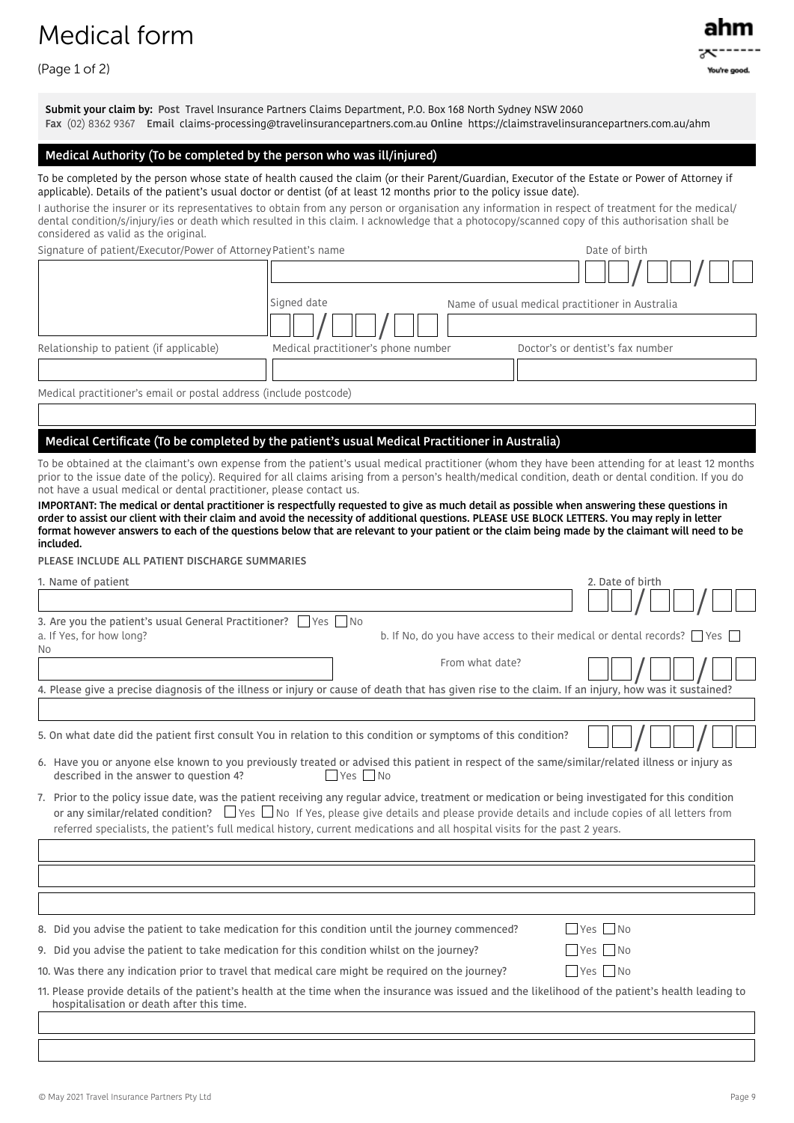## Medical form

(Page 1 of 2)

Submit your claim by: Post Travel Insurance Partners Claims Department, P.O. Box 168 North Sydney NSW 2060 Fax (02) 8362 9367 Email claims-processing@travelinsurancepartners.com.au Online https://claimstravelinsurancepartners.com.au/ahm

## Medical Authority (To be completed by the person who was ill/injured)

To be completed by the person whose state of health caused the claim (or their Parent/Guardian, Executor of the Estate or Power of Attorney if applicable). Details of the patient's usual doctor or dentist (of at least 12 months prior to the policy issue date).

I authorise the insurer or its representatives to obtain from any person or organisation any information in respect of treatment for the medical/ dental condition/s/injury/ies or death which resulted in this claim. I acknowledge that a photocopy/scanned copy of this authorisation shall be considered as valid as the original.

Signature of patient/Executor/Power of Attorney Patient's name  $\blacksquare$  Date of birth

|                                                                   | Signed date                         | Name of usual medical practitioner in Australia |
|-------------------------------------------------------------------|-------------------------------------|-------------------------------------------------|
|                                                                   |                                     |                                                 |
| Relationship to patient (if applicable)                           | Medical practitioner's phone number | Doctor's or dentist's fax number                |
|                                                                   |                                     |                                                 |
| Medical practitioner's email or postal address (include postcode) |                                     |                                                 |

## Medical Certificate (To be completed by the patient's usual Medical Practitioner in Australia)

To be obtained at the claimant's own expense from the patient's usual medical practitioner (whom they have been attending for at least 12 months prior to the issue date of the policy). Required for all claims arising from a person's health/medical condition, death or dental condition. If you do not have a usual medical or dental practitioner, please contact us.

IMPORTANT: The medical or dental practitioner is respectfully requested to give as much detail as possible when answering these questions in order to assist our client with their claim and avoid the necessity of additional questions. PLEASE USE BLOCK LETTERS. You may reply in letter format however answers to each of the questions below that are relevant to your patient or the claim being made by the claimant will need to be included.

PLEASE INCLUDE ALL PATIENT DISCHARGE SUMMARIES

| 1. Name of patient                                                                                                                                                                                                                                                                                                                                                                                                                       | 2. Date of birth                     |
|------------------------------------------------------------------------------------------------------------------------------------------------------------------------------------------------------------------------------------------------------------------------------------------------------------------------------------------------------------------------------------------------------------------------------------------|--------------------------------------|
|                                                                                                                                                                                                                                                                                                                                                                                                                                          |                                      |
| 3. Are you the patient's usual General Practitioner?<br>Yes I No                                                                                                                                                                                                                                                                                                                                                                         |                                      |
| b. If No, do you have access to their medical or dental records? $\vert$ Yes $\vert$<br>a. If Yes, for how long?                                                                                                                                                                                                                                                                                                                         |                                      |
| No.<br>From what date?                                                                                                                                                                                                                                                                                                                                                                                                                   |                                      |
|                                                                                                                                                                                                                                                                                                                                                                                                                                          |                                      |
| 4. Please give a precise diagnosis of the illness or injury or cause of death that has given rise to the claim. If an injury, how was it sustained?                                                                                                                                                                                                                                                                                      |                                      |
|                                                                                                                                                                                                                                                                                                                                                                                                                                          |                                      |
| 5. On what date did the patient first consult You in relation to this condition or symptoms of this condition?                                                                                                                                                                                                                                                                                                                           |                                      |
| 6. Have you or anyone else known to you previously treated or advised this patient in respect of the same/similar/related illness or injury as<br>Yes No<br>described in the answer to question 4?                                                                                                                                                                                                                                       |                                      |
| 7. Prior to the policy issue date, was the patient receiving any regular advice, treatment or medication or being investigated for this condition<br>or any similar/related condition? $\Box$ Yes $\Box$ No If Yes, please give details and please provide details and include copies of all letters from<br>referred specialists, the patient's full medical history, current medications and all hospital visits for the past 2 years. |                                      |
|                                                                                                                                                                                                                                                                                                                                                                                                                                          |                                      |
|                                                                                                                                                                                                                                                                                                                                                                                                                                          |                                      |
|                                                                                                                                                                                                                                                                                                                                                                                                                                          |                                      |
| 8. Did you advise the patient to take medication for this condition until the journey commenced?                                                                                                                                                                                                                                                                                                                                         | $\blacksquare$ Yes $\blacksquare$ No |
| 9. Did you advise the patient to take medication for this condition whilst on the journey?                                                                                                                                                                                                                                                                                                                                               | $\blacksquare$ Yes $\blacksquare$ No |
| 10. Was there any indication prior to travel that medical care might be required on the journey?                                                                                                                                                                                                                                                                                                                                         | $\blacksquare$ Yes $\blacksquare$ No |
| 11. Please provide details of the patient's health at the time when the insurance was issued and the likelihood of the patient's health leading to<br>hospitalisation or death after this time.                                                                                                                                                                                                                                          |                                      |
|                                                                                                                                                                                                                                                                                                                                                                                                                                          |                                      |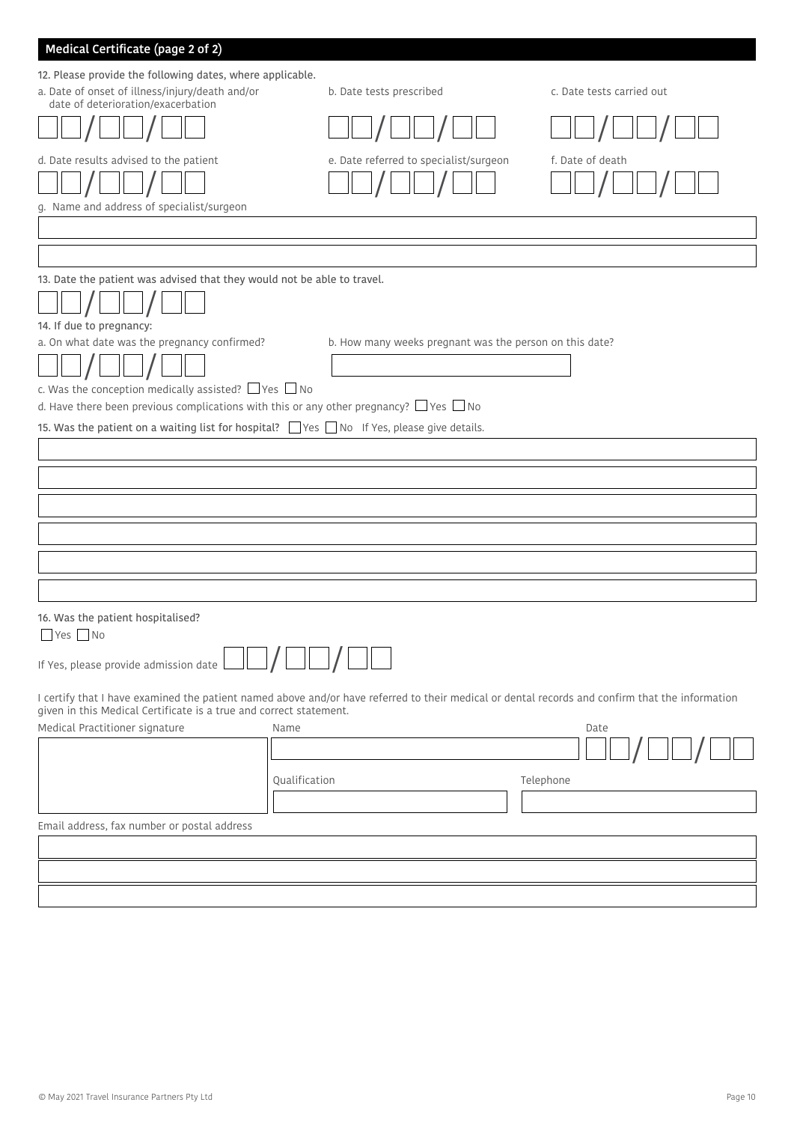| Medical Certificate (page 2 of 2)                                                                                                                                                                                                                               |                                                         |                           |
|-----------------------------------------------------------------------------------------------------------------------------------------------------------------------------------------------------------------------------------------------------------------|---------------------------------------------------------|---------------------------|
| 12. Please provide the following dates, where applicable.<br>a. Date of onset of illness/injury/death and/or<br>date of deterioration/exacerbation                                                                                                              | b. Date tests prescribed                                | c. Date tests carried out |
|                                                                                                                                                                                                                                                                 |                                                         |                           |
| d. Date results advised to the patient<br>g. Name and address of specialist/surgeon                                                                                                                                                                             | e. Date referred to specialist/surgeon                  | f. Date of death          |
|                                                                                                                                                                                                                                                                 |                                                         |                           |
|                                                                                                                                                                                                                                                                 |                                                         |                           |
| 13. Date the patient was advised that they would not be able to travel.<br>14. If due to pregnancy:                                                                                                                                                             |                                                         |                           |
| a. On what date was the pregnancy confirmed?<br>c. Was the conception medically assisted? $\Box$ Yes $\Box$ No                                                                                                                                                  | b. How many weeks pregnant was the person on this date? |                           |
| d. Have there been previous complications with this or any other pregnancy? $\Box$ Yes $\Box$ No                                                                                                                                                                |                                                         |                           |
| 15. Was the patient on a waiting list for hospital? □ Yes □ No If Yes, please give details.                                                                                                                                                                     |                                                         |                           |
|                                                                                                                                                                                                                                                                 |                                                         |                           |
|                                                                                                                                                                                                                                                                 |                                                         |                           |
|                                                                                                                                                                                                                                                                 |                                                         |                           |
|                                                                                                                                                                                                                                                                 |                                                         |                           |
|                                                                                                                                                                                                                                                                 |                                                         |                           |
|                                                                                                                                                                                                                                                                 |                                                         |                           |
|                                                                                                                                                                                                                                                                 |                                                         |                           |
| 16. Was the patient hospitalised?<br>$\Box$ Yes $\Box$ No                                                                                                                                                                                                       |                                                         |                           |
| If Yes, please provide admission date                                                                                                                                                                                                                           |                                                         |                           |
| I certify that I have examined the patient named above and/or have referred to their medical or dental records and confirm that the information<br>given in this Medical Certificate is a true and correct statement.<br>Medical Practitioner signature<br>Name |                                                         | Date                      |
|                                                                                                                                                                                                                                                                 |                                                         |                           |
| Qualification                                                                                                                                                                                                                                                   |                                                         | Telephone                 |
|                                                                                                                                                                                                                                                                 |                                                         |                           |
| Email address, fax number or postal address                                                                                                                                                                                                                     |                                                         |                           |
|                                                                                                                                                                                                                                                                 |                                                         |                           |
|                                                                                                                                                                                                                                                                 |                                                         |                           |
|                                                                                                                                                                                                                                                                 |                                                         |                           |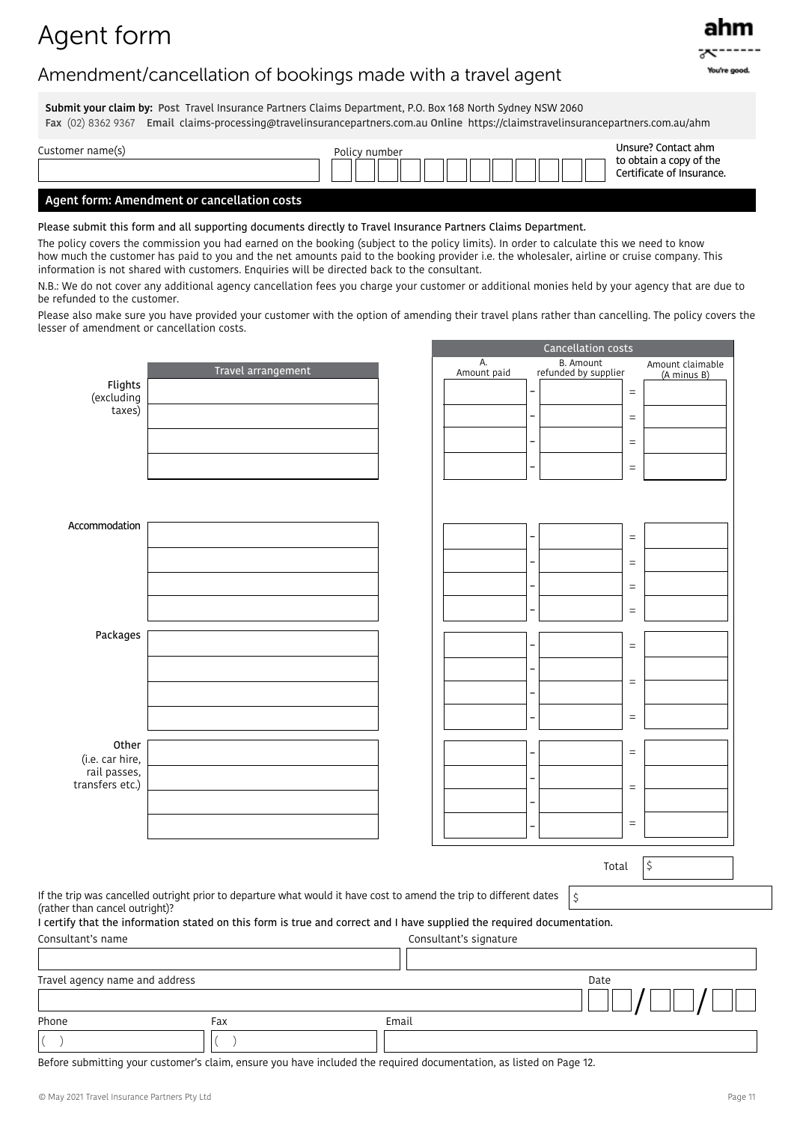## Agent form

## Amendment/cancellation of bookings made with a travel agent

Submit your claim by: Post Travel Insurance Partners Claims Department, P.O. Box 168 North Sydney NSW 2060 Fax (02) 8362 9367 Email claims-processing@travelinsurancepartners.com.au Online https://claimstravelinsurancepartners.com.au/ahm

| Customer name(s) | Policy number |  |  |  |  |  | Unsure? Contact ahm |  |  |  |  |  |  |                                                      |
|------------------|---------------|--|--|--|--|--|---------------------|--|--|--|--|--|--|------------------------------------------------------|
|                  |               |  |  |  |  |  |                     |  |  |  |  |  |  | to obtain a copy of the<br>Certificate of Insurance. |

### Agent form: Amendment or cancellation costs

Please submit this form and all supporting documents directly to Travel Insurance Partners Claims Department.

The policy covers the commission you had earned on the booking (subject to the policy limits). In order to calculate this we need to know how much the customer has paid to you and the net amounts paid to the booking provider i.e. the wholesaler, airline or cruise company. This information is not shared with customers. Enquiries will be directed back to the consultant.

N.B.: We do not cover any additional agency cancellation fees you charge your customer or additional monies held by your agency that are due to be refunded to the customer.

Please also make sure you have provided your customer with the option of amending their travel plans rather than cancelling. The policy covers the lesser of amendment or cancellation costs.

|                                 |                                                                                                                        |       |                        |                          | Cancellation costs                       |          |                                 |
|---------------------------------|------------------------------------------------------------------------------------------------------------------------|-------|------------------------|--------------------------|------------------------------------------|----------|---------------------------------|
|                                 | Travel arrangement                                                                                                     |       | А.<br>Amount paid      |                          | <b>B.</b> Amount<br>refunded by supplier |          | Amount claimable<br>(A minus B) |
| Flights<br>(excluding           |                                                                                                                        |       |                        |                          |                                          | $\equiv$ |                                 |
| taxes)                          |                                                                                                                        |       |                        |                          |                                          | $\equiv$ |                                 |
|                                 |                                                                                                                        |       |                        | $\overline{\phantom{0}}$ |                                          | $\equiv$ |                                 |
|                                 |                                                                                                                        |       |                        | $\overline{\phantom{0}}$ |                                          | $\equiv$ |                                 |
|                                 |                                                                                                                        |       |                        |                          |                                          |          |                                 |
| Accommodation                   |                                                                                                                        |       |                        |                          |                                          |          |                                 |
|                                 |                                                                                                                        |       |                        |                          |                                          | $\equiv$ |                                 |
|                                 |                                                                                                                        |       |                        | $\overline{a}$           |                                          | $\equiv$ |                                 |
|                                 |                                                                                                                        |       |                        | $\overline{\phantom{0}}$ |                                          | $\equiv$ |                                 |
|                                 |                                                                                                                        |       |                        | $\overline{\phantom{0}}$ |                                          | $\equiv$ |                                 |
| Packages                        |                                                                                                                        |       |                        | -                        |                                          | $\equiv$ |                                 |
|                                 |                                                                                                                        |       |                        | -                        |                                          |          |                                 |
|                                 |                                                                                                                        |       |                        | $\overline{a}$           |                                          | $\equiv$ |                                 |
|                                 |                                                                                                                        |       |                        | -                        |                                          | $\equiv$ |                                 |
| Other                           |                                                                                                                        |       |                        |                          |                                          |          |                                 |
| (i.e. car hire,<br>rail passes, |                                                                                                                        |       |                        | -                        |                                          | $\equiv$ |                                 |
| transfers etc.)                 |                                                                                                                        |       |                        | -                        |                                          | $\equiv$ |                                 |
|                                 |                                                                                                                        |       |                        | -                        |                                          | $\equiv$ |                                 |
|                                 |                                                                                                                        |       |                        | $\overline{\phantom{0}}$ |                                          |          |                                 |
|                                 |                                                                                                                        |       |                        |                          | Total                                    |          | \$                              |
|                                 | If the trip was cancelled outright prior to departure what would it have cost to amend the trip to different dates     |       |                        |                          | \$                                       |          |                                 |
| (rather than cancel outright)?  | I certify that the information stated on this form is true and correct and I have supplied the required documentation. |       |                        |                          |                                          |          |                                 |
| Consultant's name               |                                                                                                                        |       | Consultant's signature |                          |                                          |          |                                 |
|                                 |                                                                                                                        |       |                        |                          |                                          |          |                                 |
| Travel agency name and address  |                                                                                                                        |       |                        |                          | Date                                     |          |                                 |
|                                 |                                                                                                                        |       |                        |                          |                                          |          |                                 |
| Phone<br>$\big($                | Fax                                                                                                                    | Email |                        |                          |                                          |          |                                 |
|                                 |                                                                                                                        |       |                        |                          |                                          |          |                                 |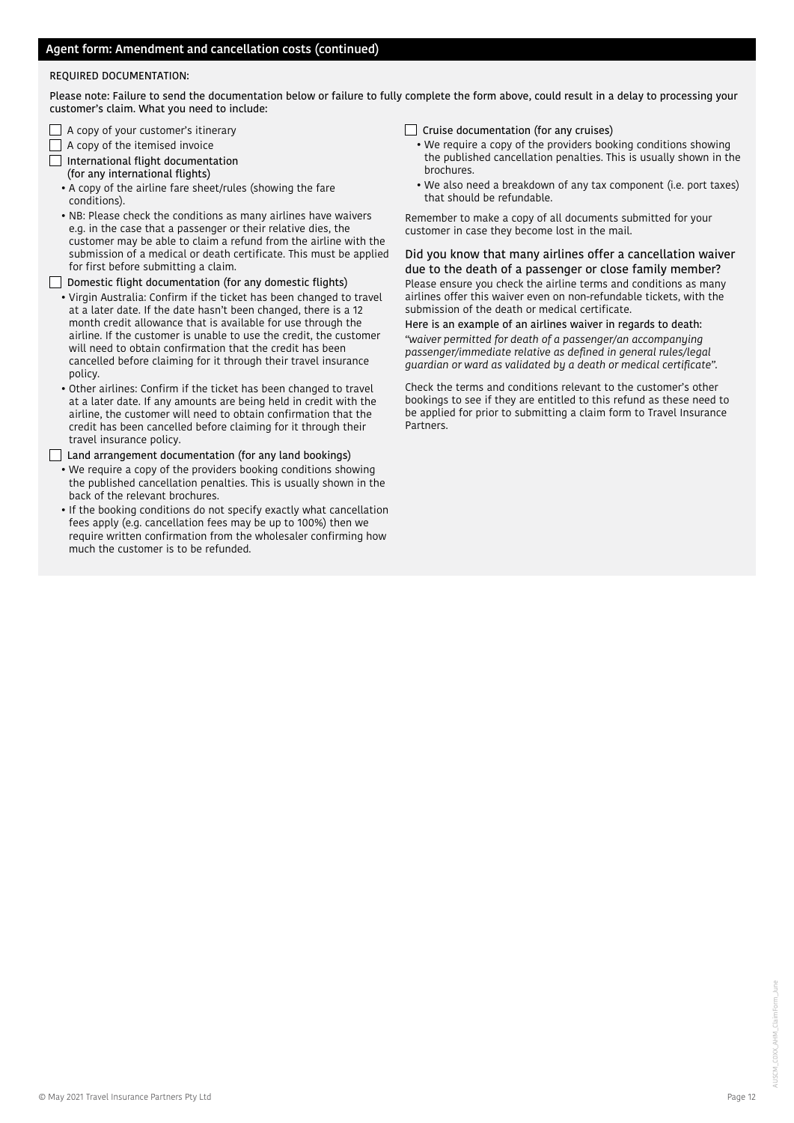#### REQUIRED DOCUMENTATION:

Please note: Failure to send the documentation below or failure to fully complete the form above, could result in a delay to processing your customer's claim. What you need to include:

- $\Box$  A copy of your customer's itinerary
- $\Box$  A copy of the itemised invoice
- International flight documentation (for any international flights)
	- A copy of the airline fare sheet/rules (showing the fare conditions).
	- NB: Please check the conditions as many airlines have waivers e.g. in the case that a passenger or their relative dies, the customer may be able to claim a refund from the airline with the submission of a medical or death certificate. This must be applied for first before submitting a claim.

 $\Box$  Domestic flight documentation (for any domestic flights)

- Virgin Australia: Confirm if the ticket has been changed to travel at a later date. If the date hasn't been changed, there is a 12 month credit allowance that is available for use through the airline. If the customer is unable to use the credit, the customer will need to obtain confirmation that the credit has been cancelled before claiming for it through their travel insurance policy.
- Other airlines: Confirm if the ticket has been changed to travel at a later date. If any amounts are being held in credit with the airline, the customer will need to obtain confirmation that the credit has been cancelled before claiming for it through their travel insurance policy.

Land arrangement documentation (for any land bookings)

- We require a copy of the providers booking conditions showing the published cancellation penalties. This is usually shown in the back of the relevant brochures.
- If the booking conditions do not specify exactly what cancellation fees apply (e.g. cancellation fees may be up to 100%) then we require written confirmation from the wholesaler confirming how much the customer is to be refunded.
- $\Box$  Cruise documentation (for any cruises)
- We require a copy of the providers booking conditions showing the published cancellation penalties. This is usually shown in the brochures.
- We also need a breakdown of any tax component (i.e. port taxes) that should be refundable.

Remember to make a copy of all documents submitted for your customer in case they become lost in the mail.

Did you know that many airlines offer a cancellation waiver due to the death of a passenger or close family member? Please ensure you check the airline terms and conditions as many airlines offer this waiver even on non-refundable tickets, with the submission of the death or medical certificate.

Here is an example of an airlines waiver in regards to death: *"waiver permitted for death of a passenger/an accompanying passenger/immediate relative as defined in general rules/legal guardian or ward as validated by a death or medical certificate".*

Check the terms and conditions relevant to the customer's other bookings to see if they are entitled to this refund as these need to be applied for prior to submitting a claim form to Travel Insurance Partners.